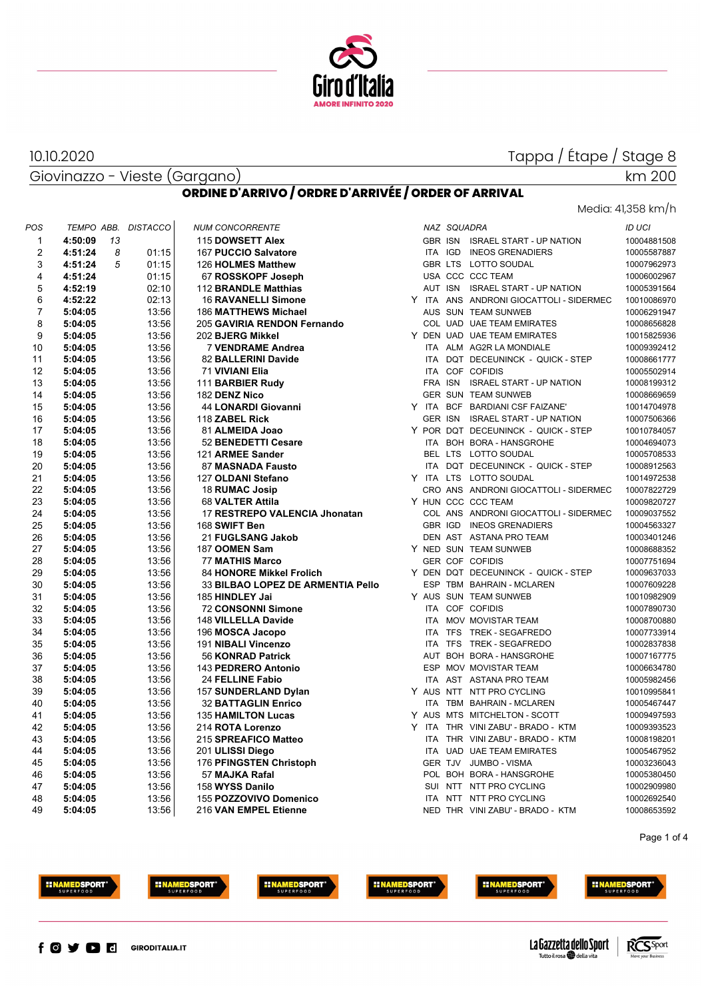

Giovinazzo - Vieste (Gargano) 10.10.2020

## km 200

Media: 41,358 km/h

#### **ORDINE D'ARRIVO / ORDRE D'ARRIVÉE / ORDER OF ARRIVAL**

| POS            |         |    | TEMPO ABB. DISTACCO |  | <b>NUM CONCORRENTE</b>            |  | NAZ SQUADRA |                                         | ID UCI      |
|----------------|---------|----|---------------------|--|-----------------------------------|--|-------------|-----------------------------------------|-------------|
| $\mathbf{1}$   | 4:50:09 | 13 |                     |  | 115 DOWSETT Alex                  |  |             | GBR ISN ISRAEL START - UP NATION        | 10004881508 |
| $\overline{2}$ | 4:51:24 | 8  | 01:15               |  | 167 PUCCIO Salvatore              |  |             | ITA IGD INEOS GRENADIERS                | 10005587887 |
| 3              | 4:51:24 | 5  | 01:15               |  | 126 HOLMES Matthew                |  |             | GBR LTS LOTTO SOUDAL                    | 10007962973 |
| 4              | 4:51:24 |    | 01:15               |  | 67 ROSSKOPF Joseph                |  |             | USA CCC CCC TEAM                        | 10006002967 |
| 5              | 4:52:19 |    | 02:10               |  | 112 BRANDLE Matthias              |  |             | AUT ISN ISRAEL START - UP NATION        | 10005391564 |
| 6              | 4:52:22 |    | 02:13               |  | <b>16 RAVANELLI Simone</b>        |  |             | Y ITA ANS ANDRONI GIOCATTOLI - SIDERMEC | 10010086970 |
| $\overline{7}$ | 5:04:05 |    | 13:56               |  | 186 MATTHEWS Michael              |  |             | AUS SUN TEAM SUNWEB                     | 10006291947 |
| 8              | 5:04:05 |    | 13:56               |  | 205 GAVIRIA RENDON Fernando       |  |             | COL UAD UAE TEAM EMIRATES               | 10008656828 |
| 9              | 5:04:05 |    | 13:56               |  | 202 BJERG Mikkel                  |  |             | Y DEN UAD UAE TEAM EMIRATES             | 10015825936 |
| 10             | 5:04:05 |    | 13:56               |  | 7 VENDRAME Andrea                 |  |             | ITA ALM AG2R LA MONDIALE                | 10009392412 |
| 11             | 5:04:05 |    | 13:56               |  | 82 BALLERINI Davide               |  |             | ITA DQT DECEUNINCK - QUICK - STEP       | 10008661777 |
| 12             | 5:04:05 |    | 13:56               |  | 71 VIVIANI Elia                   |  |             | ITA COF COFIDIS                         | 10005502914 |
| 13             | 5:04:05 |    | 13:56               |  | 111 BARBIER Rudy                  |  |             | FRA ISN ISRAEL START - UP NATION        | 10008199312 |
| 14             | 5:04:05 |    | 13:56               |  | 182 DENZ Nico                     |  |             | <b>GER SUN TEAM SUNWEB</b>              | 10008669659 |
| 15             | 5:04:05 |    | 13:56               |  | 44 LONARDI Giovanni               |  |             | Y ITA BCF BARDIANI CSF FAIZANE'         | 10014704978 |
| 16             | 5:04:05 |    | 13:56               |  | 118 ZABEL Rick                    |  |             | GER ISN ISRAEL START - UP NATION        | 10007506366 |
| 17             | 5:04:05 |    | 13:56               |  | 81 ALMEIDA Joao                   |  |             | Y POR DQT DECEUNINCK - QUICK - STEP     | 10010784057 |
| 18             | 5:04:05 |    | 13:56               |  | 52 BENEDETTI Cesare               |  |             | ITA BOH BORA - HANSGROHE                | 10004694073 |
| 19             | 5:04:05 |    | 13:56               |  | 121 ARMEE Sander                  |  |             | BEL LTS LOTTO SOUDAL                    | 10005708533 |
| 20             | 5:04:05 |    | 13:56               |  | 87 MASNADA Fausto                 |  |             | ITA DQT DECEUNINCK - QUICK - STEP       | 10008912563 |
| 21             | 5:04:05 |    | 13:56               |  | 127 OLDANI Stefano                |  |             | Y ITA LTS LOTTO SOUDAL                  | 10014972538 |
| 22             | 5:04:05 |    | 13:56               |  | 18 RUMAC Josip                    |  |             | CRO ANS ANDRONI GIOCATTOLI - SIDERMEC   | 10007822729 |
| 23             | 5:04:05 |    | 13:56               |  | 68 VALTER Attila                  |  |             | Y HUN CCC CCC TEAM                      | 10009820727 |
| 24             | 5:04:05 |    | 13:56               |  | 17 RESTREPO VALENCIA Jhonatan     |  |             | COL ANS ANDRONI GIOCATTOLI - SIDERMEC   | 10009037552 |
| 25             | 5:04:05 |    | 13:56               |  | 168 SWIFT Ben                     |  |             | GBR IGD INEOS GRENADIERS                | 10004563327 |
| 26             | 5:04:05 |    | 13:56               |  | 21 FUGLSANG Jakob                 |  |             | DEN AST ASTANA PRO TEAM                 | 10003401246 |
| 27             | 5:04:05 |    | 13:56               |  | 187 OOMEN Sam                     |  |             | Y NED SUN TEAM SUNWEB                   | 10008688352 |
| 28             | 5:04:05 |    | 13:56               |  | <b>77 MATHIS Marco</b>            |  |             | <b>GER COF COFIDIS</b>                  | 10007751694 |
| 29             | 5:04:05 |    | 13:56               |  | 84 HONORE Mikkel Frolich          |  |             | Y DEN DQT DECEUNINCK - QUICK - STEP     | 10009637033 |
| 30             | 5:04:05 |    | 13:56               |  | 33 BILBAO LOPEZ DE ARMENTIA Pello |  |             | ESP TBM BAHRAIN - MCLAREN               | 10007609228 |
| 31             | 5:04:05 |    | 13:56               |  | 185 HINDLEY Jai                   |  |             | Y AUS SUN TEAM SUNWEB                   | 10010982909 |
| 32             | 5:04:05 |    | 13:56               |  | <b>72 CONSONNI Simone</b>         |  |             | ITA COF COFIDIS                         | 10007890730 |
| 33             | 5:04:05 |    | 13:56               |  | 148 VILLELLA Davide               |  |             | ITA MOV MOVISTAR TEAM                   | 10008700880 |
| 34             | 5:04:05 |    | 13:56               |  | 196 MOSCA Jacopo                  |  |             | ITA TFS TREK - SEGAFREDO                | 10007733914 |
| 35             | 5:04:05 |    | 13:56               |  | 191 NIBALI Vincenzo               |  |             | ITA TFS TREK - SEGAFREDO                | 10002837838 |
| 36             | 5:04:05 |    | 13:56               |  | 56 KONRAD Patrick                 |  |             | AUT BOH BORA - HANSGROHE                | 10007167775 |
| 37             | 5:04:05 |    | 13:56               |  | 143 PEDRERO Antonio               |  |             | ESP MOV MOVISTAR TEAM                   | 10006634780 |
| 38             | 5:04:05 |    | 13:56               |  | 24 FELLINE Fabio                  |  |             | ITA AST ASTANA PRO TEAM                 | 10005982456 |
| 39             | 5:04:05 |    | 13:56               |  | 157 SUNDERLAND Dylan              |  |             | Y AUS NTT NTT PRO CYCLING               | 10010995841 |
| 40             | 5:04:05 |    | 13:56               |  | <b>32 BATTAGLIN Enrico</b>        |  |             | ITA TBM BAHRAIN - MCLAREN               | 10005467447 |
| 41             | 5:04:05 |    | 13:56               |  | <b>135 HAMILTON Lucas</b>         |  |             | Y AUS MTS MITCHELTON - SCOTT            | 10009497593 |
| 42             | 5:04:05 |    | 13:56               |  | 214 ROTA Lorenzo                  |  |             | Y ITA THR VINI ZABU' - BRADO - KTM      | 10009393523 |
| 43             | 5:04:05 |    | 13:56               |  | 215 SPREAFICO Matteo              |  |             | ITA THR VINI ZABU' - BRADO - KTM        | 10008198201 |
| 44             | 5:04:05 |    | 13:56               |  | 201 ULISSI Diego                  |  |             | ITA UAD UAE TEAM EMIRATES               | 10005467952 |
| 45             | 5:04:05 |    | 13:56               |  | 176 PFINGSTEN Christoph           |  |             | GER TJV JUMBO - VISMA                   | 10003236043 |
| 46             | 5:04:05 |    | 13:56               |  | 57 MAJKA Rafal                    |  |             | POL BOH BORA - HANSGROHE                | 10005380450 |
| 47             | 5:04:05 |    | 13:56               |  | 158 WYSS Danilo                   |  |             | SUI NTT NTT PRO CYCLING                 | 10002909980 |
| 48             | 5:04:05 |    | 13:56               |  | 155 POZZOVIVO Domenico            |  |             | ITA NTT NTT PRO CYCLING                 | 10002692540 |
| 49             | 5:04:05 |    | 13:56               |  | 216 VAN EMPEL Etienne             |  |             | NED THR VINI ZABU' - BRADO - KTM        | 10008653592 |
|                |         |    |                     |  |                                   |  |             |                                         |             |

Page 1 of 4



















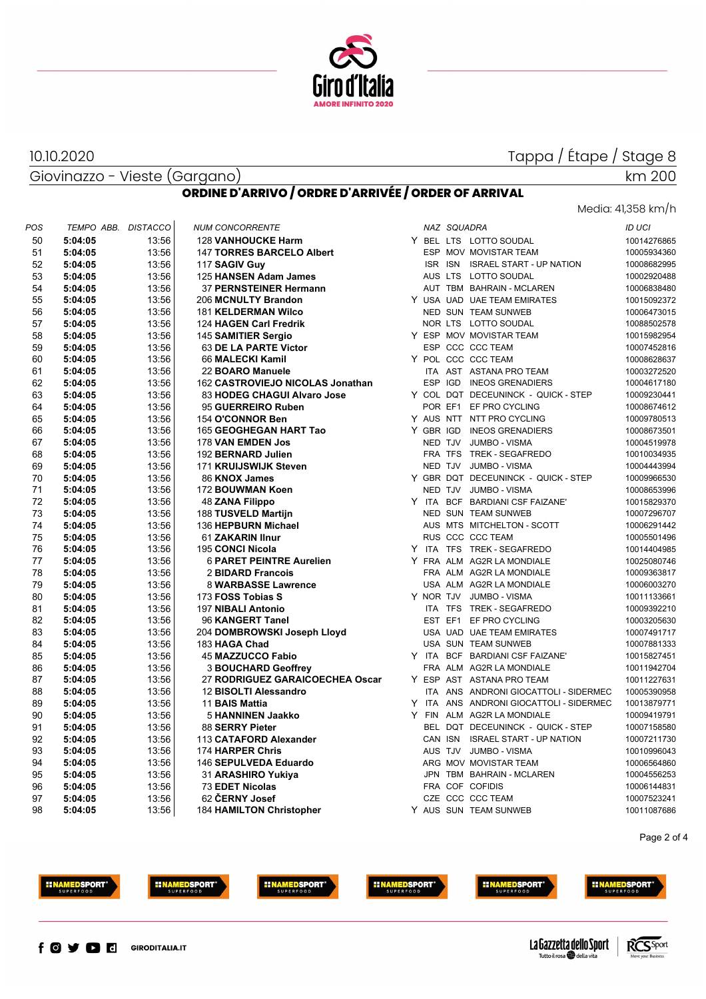

Giovinazzo - Vieste (Gargano) 10.10.2020

# km 200

Media: 41,358 km/h

#### **ORDINE D'ARRIVO / ORDRE D'ARRIVÉE / ORDER OF ARRIVAL**

| POS | TEMPO ABB. DISTACCO |       | <b>NUM CONCORRENTE</b>           |   |            | NAZ SQUADRA |                                       | <b>ID UCI</b> |
|-----|---------------------|-------|----------------------------------|---|------------|-------------|---------------------------------------|---------------|
| 50  | 5:04:05             | 13:56 | <b>128 VANHOUCKE Harm</b>        |   |            |             | Y BEL LTS LOTTO SOUDAL                | 10014276865   |
| 51  | 5:04:05             | 13:56 | <b>147 TORRES BARCELO Albert</b> |   |            |             | ESP MOV MOVISTAR TEAM                 | 10005934360   |
| 52  | 5:04:05             | 13:56 | 117 SAGIV Guy                    |   |            | ISR ISN     | <b>ISRAEL START - UP NATION</b>       | 10008682995   |
| 53  | 5:04:05             | 13:56 | 125 HANSEN Adam James            |   |            |             | AUS LTS LOTTO SOUDAL                  | 10002920488   |
| 54  | 5:04:05             | 13:56 | <b>37 PERNSTEINER Hermann</b>    |   |            |             | AUT TBM BAHRAIN - MCLAREN             | 10006838480   |
| 55  | 5:04:05             | 13:56 | 206 MCNULTY Brandon              |   |            |             | Y USA UAD UAE TEAM EMIRATES           | 10015092372   |
| 56  | 5:04:05             | 13:56 | <b>181 KELDERMAN Wilco</b>       |   |            |             | NED SUN TEAM SUNWEB                   | 10006473015   |
| 57  | 5:04:05             | 13:56 | 124 HAGEN Carl Fredrik           |   |            |             | NOR LTS LOTTO SOUDAL                  | 10088502578   |
| 58  | 5:04:05             | 13:56 | 145 SAMITIER Sergio              |   |            |             | Y ESP MOV MOVISTAR TEAM               | 10015982954   |
| 59  | 5:04:05             | 13:56 | 63 DE LA PARTE Victor            |   |            |             | ESP CCC CCC TEAM                      | 10007452816   |
| 60  | 5:04:05             | 13:56 | 66 MALECKI Kamil                 |   |            |             | Y POL CCC CCC TEAM                    | 10008628637   |
| 61  | 5:04:05             | 13:56 | 22 BOARO Manuele                 |   |            |             | ITA AST ASTANA PRO TEAM               | 10003272520   |
| 62  | 5:04:05             | 13:56 | 162 CASTROVIEJO NICOLAS Jonathan |   | <b>ESP</b> |             | IGD INEOS GRENADIERS                  | 10004617180   |
| 63  | 5:04:05             | 13:56 | 83 HODEG CHAGUI Alvaro Jose      |   |            |             | Y COL DQT DECEUNINCK - QUICK - STEP   | 10009230441   |
| 64  | 5:04:05             | 13:56 | 95 GUERREIRO Ruben               |   |            |             | POR EF1 EF PRO CYCLING                | 10008674612   |
| 65  | 5:04:05             | 13:56 | 154 O'CONNOR Ben                 |   |            |             | Y AUS NTT NTT PRO CYCLING             | 10009780513   |
| 66  |                     | 13:56 | 165 GEOGHEGAN HART Tao           |   |            |             | Y GBR IGD INEOS GRENADIERS            | 10008673501   |
|     | 5:04:05             |       |                                  |   |            |             |                                       |               |
| 67  | 5:04:05             | 13:56 | 178 VAN EMDEN Jos                |   |            |             | NED TJV JUMBO - VISMA                 | 10004519978   |
| 68  | 5:04:05             | 13:56 | 192 BERNARD Julien               |   |            |             | FRA TFS TREK - SEGAFREDO              | 10010034935   |
| 69  | 5:04:05             | 13:56 | 171 KRUIJSWIJK Steven            |   |            |             | NED TJV JUMBO - VISMA                 | 10004443994   |
| 70  | 5:04:05             | 13:56 | 86 KNOX James                    |   |            |             | Y GBR DQT DECEUNINCK - QUICK - STEP   | 10009966530   |
| 71  | 5:04:05             | 13:56 | 172 BOUWMAN Koen                 |   |            |             | NED TJV JUMBO - VISMA                 | 10008653996   |
| 72  | 5:04:05             | 13:56 | <b>48 ZANA Filippo</b>           |   | Y ITA      |             | BCF BARDIANI CSF FAIZANE'             | 10015829370   |
| 73  | 5:04:05             | 13:56 | 188 TUSVELD Martijn              |   |            |             | NED SUN TEAM SUNWEB                   | 10007296707   |
| 74  | 5:04:05             | 13:56 | 136 HEPBURN Michael              |   |            |             | AUS MTS MITCHELTON - SCOTT            | 10006291442   |
| 75  | 5:04:05             | 13:56 | 61 ZAKARIN IInur                 |   |            |             | RUS CCC CCC TEAM                      | 10005501496   |
| 76  | 5:04:05             | 13:56 | 195 CONCI Nicola                 |   |            |             | Y ITA TFS TREK - SEGAFREDO            | 10014404985   |
| 77  | 5:04:05             | 13:56 | <b>6 PARET PEINTRE Aurelien</b>  |   |            |             | Y FRA ALM AG2R LA MONDIALE            | 10025080746   |
| 78  | 5:04:05             | 13:56 | 2 BIDARD Francois                |   |            |             | FRA ALM AG2R LA MONDIALE              | 10009363817   |
| 79  | 5:04:05             | 13:56 | <b>8 WARBASSE Lawrence</b>       |   |            |             | USA ALM AG2R LA MONDIALE              | 10006003270   |
| 80  | 5:04:05             | 13:56 | 173 FOSS Tobias S                |   |            |             | Y NOR TJV JUMBO-VISMA                 | 10011133661   |
| 81  | 5:04:05             | 13:56 | 197 NIBALI Antonio               |   |            |             | ITA TFS TREK - SEGAFREDO              | 10009392210   |
| 82  | 5:04:05             | 13:56 | 96 KANGERT Tanel                 |   |            | EST EF1     | EF PRO CYCLING                        | 10003205630   |
| 83  | 5:04:05             | 13:56 | 204 DOMBROWSKI Joseph Lloyd      |   |            |             | USA UAD UAE TEAM EMIRATES             | 10007491717   |
| 84  | 5:04:05             | 13:56 | 183 HAGA Chad                    |   |            |             | USA SUN TEAM SUNWEB                   | 10007881333   |
| 85  | 5:04:05             | 13:56 | <b>45 MAZZUCCO Fabio</b>         |   |            |             | Y ITA BCF BARDIANI CSF FAIZANE'       | 10015827451   |
| 86  | 5:04:05             | 13:56 | <b>3 BOUCHARD Geoffrey</b>       |   |            |             | FRA ALM AG2R LA MONDIALE              | 10011942704   |
| 87  | 5:04:05             | 13:56 | 27 RODRIGUEZ GARAICOECHEA Oscar  |   |            |             | Y ESP AST ASTANA PRO TEAM             | 10011227631   |
| 88  | 5:04:05             | 13:56 | 12 BISOLTI Alessandro            |   |            |             | ITA ANS ANDRONI GIOCATTOLI - SIDERMEC | 10005390958   |
| 89  | 5:04:05             | 13:56 | 11 BAIS Mattia                   | Y | <b>ITA</b> |             | ANS ANDRONI GIOCATTOLI - SIDERMEC     | 10013879771   |
| 90  | 5:04:05             | 13:56 | 5 HANNINEN Jaakko                |   |            |             | Y FIN ALM AG2R LA MONDIALE            | 10009419791   |
| 91  | 5:04:05             | 13:56 | 88 SERRY Pieter                  |   |            |             | BEL DQT DECEUNINCK - QUICK - STEP     | 10007158580   |
| 92  | 5:04:05             | 13:56 | 113 CATAFORD Alexander           |   |            |             | CAN ISN ISRAEL START - UP NATION      | 10007211730   |
| 93  | 5:04:05             | 13:56 | 174 HARPER Chris                 |   |            |             | AUS TJV JUMBO - VISMA                 | 10010996043   |
| 94  | 5:04:05             | 13:56 | 146 SEPULVEDA Eduardo            |   |            |             | ARG MOV MOVISTAR TEAM                 | 10006564860   |
| 95  | 5:04:05             | 13:56 | 31 ARASHIRO Yukiya               |   |            |             | JPN TBM BAHRAIN - MCLAREN             | 10004556253   |
| 96  | 5:04:05             | 13:56 | <b>73 EDET Nicolas</b>           |   |            |             | FRA COF COFIDIS                       | 10006144831   |
| 97  | 5:04:05             | 13:56 | 62 ČERNY Josef                   |   |            |             | CZE CCC CCC TEAM                      | 10007523241   |
| 98  | 5:04:05             | 13:56 | <b>184 HAMILTON Christopher</b>  |   |            |             | Y AUS SUN TEAM SUNWEB                 | 10011087686   |

Page 2 of 4







**HINAMEDSPORT** 





**HINAMEDSPORT** 





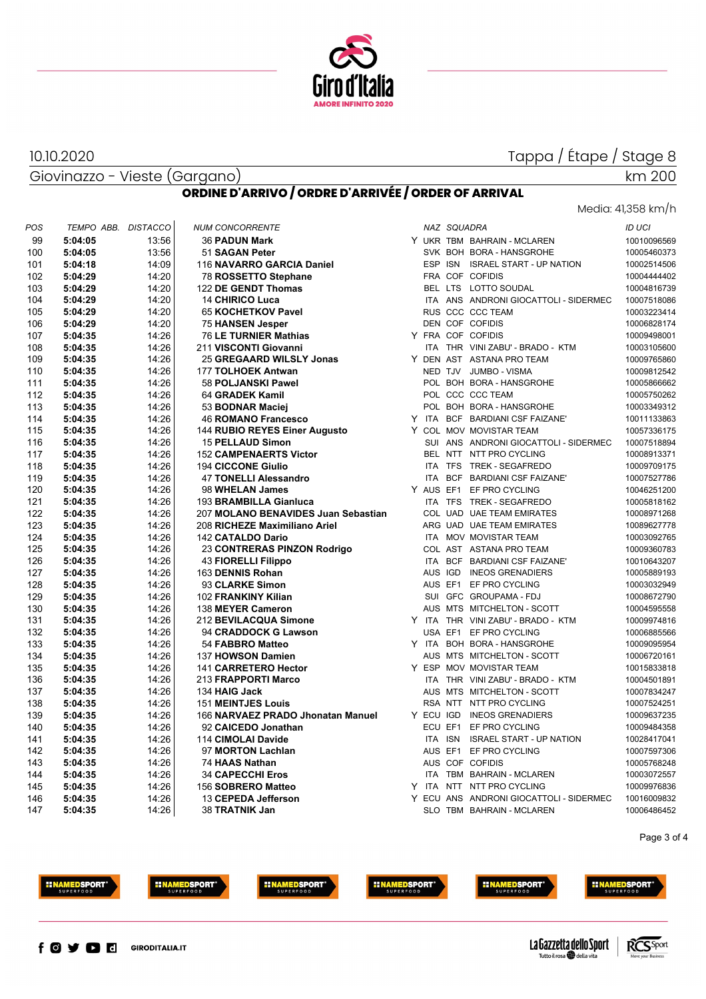

Giovinazzo - Vieste (Gargano) 10.10.2020

 $\overline{1}$ 

#### Media: 41,358 km/h

km 200

|  |  | ORDINE D'ARRIVO / ORDRE D'ARRIVÉE / ORDER OF ARRIVAL |
|--|--|------------------------------------------------------|

| POS | TEMPO ABB. | <b>DISTACCO</b> | <b>NUM CONCORRENTE</b>              |           | NAZ SQUADRA |                                         | <b>ID UCI</b> |
|-----|------------|-----------------|-------------------------------------|-----------|-------------|-----------------------------------------|---------------|
| 99  | 5:04:05    | 13:56           | <b>36 PADUN Mark</b>                |           |             | Y UKR TBM BAHRAIN - MCLAREN             | 10010096569   |
| 100 | 5:04:05    | 13:56           | 51 SAGAN Peter                      |           |             | SVK BOH BORA - HANSGROHE                | 10005460373   |
| 101 | 5:04:18    | 14:09           | 116 NAVARRO GARCIA Daniel           |           |             | ESP ISN ISRAEL START - UP NATION        | 10002514506   |
| 102 | 5:04:29    | 14:20           | 78 ROSSETTO Stephane                |           |             | FRA COF COFIDIS                         | 10004444402   |
| 103 | 5:04:29    | 14:20           | 122 DE GENDT Thomas                 |           |             | BEL LTS LOTTO SOUDAL                    | 10004816739   |
| 104 | 5:04:29    | 14:20           | 14 CHIRICO Luca                     |           |             | ITA ANS ANDRONI GIOCATTOLI - SIDERMEC   | 10007518086   |
| 105 | 5:04:29    | 14:20           | 65 KOCHETKOV Pavel                  |           |             | RUS CCC CCC TEAM                        | 10003223414   |
| 106 | 5:04:29    | 14:20           | <b>75 HANSEN Jesper</b>             |           |             | DEN COF COFIDIS                         | 10006828174   |
| 107 | 5:04:35    | 14:26           | 76 LE TURNIER Mathias               |           |             | Y FRA COF COFIDIS                       | 10009498001   |
| 108 | 5:04:35    | 14:26           | 211 VISCONTI Giovanni               |           |             | ITA THR VINI ZABU' - BRADO - KTM        | 10003105600   |
| 109 | 5:04:35    | 14:26           | 25 GREGAARD WILSLY Jonas            |           |             | Y DEN AST ASTANA PRO TEAM               | 10009765860   |
| 110 | 5:04:35    | 14:26           | 177 TOLHOEK Antwan                  |           |             | NED TJV JUMBO - VISMA                   | 10009812542   |
| 111 | 5:04:35    | 14:26           | 58 POLJANSKI Pawel                  |           |             | POL BOH BORA - HANSGROHE                | 10005866662   |
| 112 | 5:04:35    | 14:26           | 64 GRADEK Kamil                     |           |             | POL CCC CCC TEAM                        | 10005750262   |
| 113 | 5:04:35    | 14:26           | 53 BODNAR Maciej                    |           |             | POL BOH BORA - HANSGROHE                | 10003349312   |
| 114 | 5:04:35    | 14:26           | <b>46 ROMANO Francesco</b>          |           |             | Y ITA BCF BARDIANI CSF FAIZANE'         | 10011133863   |
| 115 | 5:04:35    | 14:26           | 144 RUBIO REYES Einer Augusto       |           |             | Y COL MOV MOVISTAR TEAM                 | 10057336175   |
| 116 | 5:04:35    | 14:26           | 15 PELLAUD Simon                    |           |             | SUI ANS ANDRONI GIOCATTOLI - SIDERMEC   | 10007518894   |
| 117 | 5:04:35    | 14:26           | <b>152 CAMPENAERTS Victor</b>       |           |             | BEL NTT NTT PRO CYCLING                 | 10008913371   |
| 118 | 5:04:35    | 14:26           | <b>194 CICCONE Giulio</b>           |           |             | ITA TFS TREK - SEGAFREDO                | 10009709175   |
| 119 | 5:04:35    | 14:26           | <b>47 TONELLI Alessandro</b>        |           |             | ITA BCF BARDIANI CSF FAIZANE'           | 10007527786   |
| 120 | 5:04:35    | 14:26           | 98 WHELAN James                     |           |             | Y AUS EF1 EF PRO CYCLING                | 10046251200   |
| 121 | 5:04:35    | 14:26           | 193 BRAMBILLA Gianluca              |           |             | ITA TFS TREK - SEGAFREDO                | 10005818162   |
| 122 | 5:04:35    | 14:26           | 207 MOLANO BENAVIDES Juan Sebastian |           |             | COL UAD UAE TEAM EMIRATES               | 10008971268   |
| 123 | 5:04:35    | 14:26           | 208 RICHEZE Maximiliano Ariel       |           |             | ARG UAD UAE TEAM EMIRATES               | 10089627778   |
| 124 | 5:04:35    | 14:26           | 142 CATALDO Dario                   |           |             | ITA MOV MOVISTAR TEAM                   | 10003092765   |
| 125 | 5:04:35    | 14:26           | 23 CONTRERAS PINZON Rodrigo         |           |             | COL AST ASTANA PRO TEAM                 | 10009360783   |
| 126 | 5:04:35    | 14:26           | 43 FIORELLI Filippo                 |           |             | ITA BCF BARDIANI CSF FAIZANE'           | 10010643207   |
| 127 | 5:04:35    | 14:26           | 163 DENNIS Rohan                    |           |             | AUS IGD INEOS GRENADIERS                | 10005889193   |
| 128 | 5:04:35    | 14:26           | 93 CLARKE Simon                     |           |             | AUS EF1 EF PRO CYCLING                  | 10003032949   |
| 129 | 5:04:35    | 14:26           | 102 FRANKINY Kilian                 |           |             | SUI GFC GROUPAMA - FDJ                  | 10008672790   |
| 130 | 5:04:35    | 14:26           | 138 MEYER Cameron                   |           |             | AUS MTS MITCHELTON - SCOTT              | 10004595558   |
| 131 | 5:04:35    | 14:26           | 212 BEVILACQUA Simone               |           |             | Y ITA THR VINI ZABU' - BRADO - KTM      | 10009974816   |
| 132 | 5:04:35    | 14:26           | 94 CRADDOCK G Lawson                |           |             | USA EF1 EF PRO CYCLING                  | 10006885566   |
| 133 | 5:04:35    | 14:26           | 54 FABBRO Matteo                    |           |             | Y ITA BOH BORA - HANSGROHE              | 10009095954   |
| 134 | 5:04:35    | 14:26           | 137 HOWSON Damien                   |           |             | AUS MTS MITCHELTON - SCOTT              | 10006720161   |
| 135 | 5:04:35    | 14:26           | 141 CARRETERO Hector                |           |             | Y ESP MOV MOVISTAR TEAM                 | 10015833818   |
| 136 | 5:04:35    | 14:26           | 213 FRAPPORTI Marco                 |           |             | ITA THR VINI ZABU' - BRADO - KTM        | 10004501891   |
| 137 | 5:04:35    | 14:26           | 134 HAIG Jack                       |           |             | AUS MTS MITCHELTON - SCOTT              | 10007834247   |
| 138 | 5:04:35    | 14:26           | <b>151 MEINTJES Louis</b>           |           |             | RSA NTT NTT PRO CYCLING                 | 10007524251   |
| 139 | 5:04:35    | 14:26           | 166 NARVAEZ PRADO Jhonatan Manuel   | Y ECU IGD |             | <b>INEOS GRENADIERS</b>                 | 10009637235   |
| 140 | 5:04:35    | 14:26           | 92 CAICEDO Jonathan                 |           | ECU EF1     | EF PRO CYCLING                          | 10009484358   |
| 141 | 5:04:35    | 14:26           | 114 CIMOLAI Davide                  |           | ITA ISN     | <b>ISRAEL START - UP NATION</b>         | 10028417041   |
| 142 | 5:04:35    | 14:26           | 97 MORTON Lachlan                   |           | AUS EF1     | EF PRO CYCLING                          | 10007597306   |
| 143 | 5:04:35    | 14:26           | 74 HAAS Nathan                      |           |             | AUS COF COFIDIS                         | 10005768248   |
| 144 | 5:04:35    | 14:26           | <b>34 CAPECCHI Eros</b>             |           |             | ITA TBM BAHRAIN - MCLAREN               | 10003072557   |
| 145 | 5:04:35    | 14:26           | 156 SOBRERO Matteo                  |           |             | Y ITA NTT NTT PRO CYCLING               | 10009976836   |
| 146 | 5:04:35    | 14:26           | 13 CEPEDA Jefferson                 |           |             | Y ECU ANS ANDRONI GIOCATTOLI - SIDERMEC | 10016009832   |
| 147 | 5:04:35    | 14:26           | 38 TRATNIK Jan                      |           |             | SLO TBM BAHRAIN - MCLAREN               | 10006486452   |
|     |            |                 |                                     |           |             |                                         |               |

Page 3 of 4